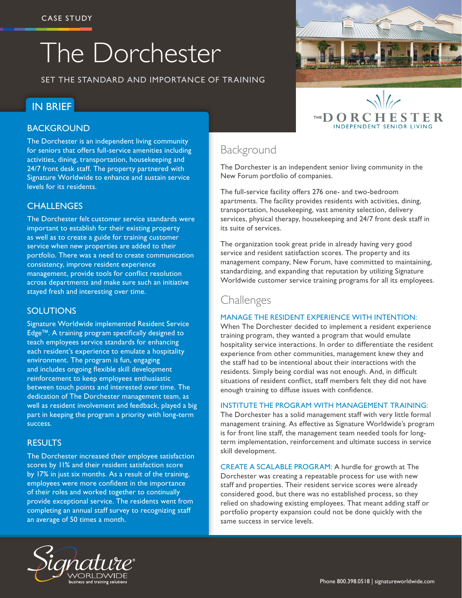# The Dorchester

SET THE STANDARD AND IMPORTANCE OF TRAINING

# IN BRIEF

#### BACKGROUND

The Dorchester is an independent living community for seniors that offers full-service amenities including activities, dining, transportation, housekeeping and 24/7 front desk staff. The property partnered with Signature Worldwide to enhance and sustain service levels for its residents.

#### **CHALLENGES**

The Dorchester felt customer service standards were important to establish for their existing property as well as to create a guide for training customer service when new properties are added to their portfolio. There was a need to create communication consistency, improve resident experience management, provide tools for conflict resolution across departments and make sure such an initiative stayed fresh and interesting over time.

#### **SOLUTIONS**

Signature Worldwide implemented Resident Service Edge™. A training program specifically designed to teach employees service standards for enhancing each resident's experience to emulate a hospitality environment. The program is fun, engaging and includes ongoing flexible skill development reinforcement to keep employees enthusiastic between touch points and interested over time. The dedication of The Dorchester management team, as well as resident involvement and feedback, played a big part in keeping the program a priority with long-term success.

#### **RESULTS**

The Dorchester increased their employee satisfaction scores by 11% and their resident satisfaction score by 17% in just six months. As a result of the training, employees were more confident in the importance of their roles and worked together to continually provide exceptional service. The residents went from completing an annual staff survey to recognizing staff an average of 50 times a month.



# Background

The Dorchester is an independent senior living community in the New Forum portfolio of companies.

The full-service facility offers 276 one- and two-bedroom apartments. The facility provides residents with activities, dining, transportation, housekeeping, vast amenity selection, delivery services, physical therapy, housekeeping and 24/7 front desk staff in its suite of services.

The organization took great pride in already having very good service and resident satisfaction scores. The property and its management company, New Forum, have committed to maintaining, standardizing, and expanding that reputation by utilizing Signature Worldwide customer service training programs for all its employees.

# Challenges

#### MANAGE THE RESIDENT EXPERIENCE WITH INTENTION:

When The Dorchester decided to implement a resident experience training program, they wanted a program that would emulate hospitality service interactions. In order to differentiate the resident experience from other communities, management knew they and the staff had to be intentional about their interactions with the residents. Simply being cordial was not enough. And, in difficult situations of resident conflict, staff members felt they did not have enough training to diffuse issues with confidence.

#### INSTITUTE THE PROGRAM WITH MANAGEMENT TRAINING:

The Dorchester has a solid management staff with very little formal management training. As effective as Signature Worldwide's program is for front line staff, the management team needed tools for longterm implementation, reinforcement and ultimate success in service skill development.

CREATE A SCALABLE PROGRAM: A hurdle for growth at The Dorchester was creating a repeatable process for use with new staff and properties. Their resident service scores were already considered good, but there was no established process, so they relied on shadowing existing employees. That meant adding staff or portfolio property expansion could not be done quickly with the same success in service levels.